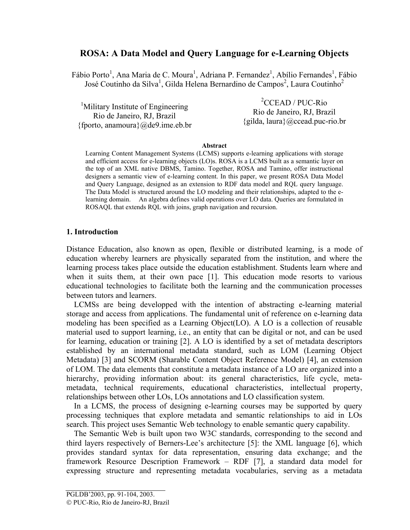# **ROSA: A Data Model and Query Language for e-Learning Objects**

Fábio Porto<sup>1</sup>, Ana Maria de C. Moura<sup>1</sup>, Adriana P. Fernandez<sup>1</sup>, Abílio Fernandes<sup>1</sup>, Fábio José Coutinho da Silva<sup>1</sup>, Gilda Helena Bernardino de Campos<sup>2</sup>, Laura Coutinho<sup>2</sup>

| <sup>1</sup> Military Institute of Engineering | ${}^{2}$ CCEAD / PUC-Rio            |
|------------------------------------------------|-------------------------------------|
| Rio de Janeiro, RJ, Brazil                     | Rio de Janeiro, RJ, Brazil          |
| {fporto, anamoura} @de9.ime.eb.br              | {gilda, laura} $@$ ccead.puc-rio.br |

#### **Abstract**

Learning Content Management Systems (LCMS) supports e-learning applications with storage and efficient access for e-learning objects (LO)s. ROSA is a LCMS built as a semantic layer on the top of an XML native DBMS, Tamino. Together, ROSA and Tamino, offer instructional designers a semantic view of e-learning content. In this paper, we present ROSA Data Model and Query Language, designed as an extension to RDF data model and RQL query language. The Data Model is structured around the LO modeling and their relationships, adapted to the elearning domain. An algebra defines valid operations over LO data. Queries are formulated in ROSAQL that extends RQL with joins, graph navigation and recursion.

### **1. Introduction**

Distance Education, also known as open, flexible or distributed learning, is a mode of education whereby learners are physically separated from the institution, and where the learning process takes place outside the education establishment. Students learn where and when it suits them, at their own pace [1]. This education mode resorts to various educational technologies to facilitate both the learning and the communication processes between tutors and learners.

LCMSs are being developped with the intention of abstracting e-learning material storage and access from applications. The fundamental unit of reference on e-learning data modeling has been specified as a Learning Object(LO). A LO is a collection of reusable material used to support learning, i.e., an entity that can be digital or not, and can be used for learning, education or training [2]. A LO is identified by a set of metadata descriptors established by an international metadata standard, such as LOM (Learning Object Metadata) [3] and SCORM (Sharable Content Object Reference Model) [4], an extension of LOM. The data elements that constitute a metadata instance of a LO are organized into a hierarchy, providing information about: its general characteristics, life cycle, metametadata, technical requirements, educational characteristics, intellectual property, relationships between other LOs, LOs annotations and LO classification system.

In a LCMS, the process of designing e-learning courses may be supported by query processing techniques that explore metadata and semantic relationships to aid in LOs search. This project uses Semantic Web technology to enable semantic query capability.

The Semantic Web is built upon two W3C standards, corresponding to the second and third layers respectively of Berners-Lee's architecture [5]: the XML language [6], which provides standard syntax for data representation, ensuring data exchange; and the framework Resource Description Framework – RDF [7], a standard data model for expressing structure and representing metadata vocabularies, serving as a metadata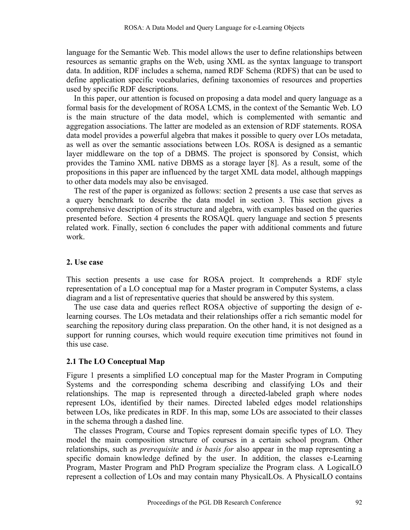language for the Semantic Web. This model allows the user to define relationships between resources as semantic graphs on the Web, using XML as the syntax language to transport data. In addition, RDF includes a schema, named RDF Schema (RDFS) that can be used to define application specific vocabularies, defining taxonomies of resources and properties used by specific RDF descriptions.

In this paper, our attention is focused on proposing a data model and query language as a formal basis for the development of ROSA LCMS, in the context of the Semantic Web. LO is the main structure of the data model, which is complemented with semantic and aggregation associations. The latter are modeled as an extension of RDF statements. ROSA data model provides a powerful algebra that makes it possible to query over LOs metadata, as well as over the semantic associations between LOs. ROSA is designed as a semantic layer middleware on the top of a DBMS. The project is sponsored by Consist, which provides the Tamino XML native DBMS as a storage layer [8]. As a result, some of the propositions in this paper are influenced by the target XML data model, although mappings to other data models may also be envisaged.

The rest of the paper is organized as follows: section 2 presents a use case that serves as a query benchmark to describe the data model in section 3. This section gives a comprehensive description of its structure and algebra, with examples based on the queries presented before. Section 4 presents the ROSAQL query language and section 5 presents related work. Finally, section 6 concludes the paper with additional comments and future work.

#### **2. Use case**

This section presents a use case for ROSA project. It comprehends a RDF style representation of a LO conceptual map for a Master program in Computer Systems, a class diagram and a list of representative queries that should be answered by this system.

The use case data and queries reflect ROSA objective of supporting the design of elearning courses. The LOs metadata and their relationships offer a rich semantic model for searching the repository during class preparation. On the other hand, it is not designed as a support for running courses, which would require execution time primitives not found in this use case.

### **2.1 The LO Conceptual Map**

Figure 1 presents a simplified LO conceptual map for the Master Program in Computing Systems and the corresponding schema describing and classifying LOs and their relationships. The map is represented through a directed-labeled graph where nodes represent LOs, identified by their names. Directed labeled edges model relationships between LOs, like predicates in RDF. In this map, some LOs are associated to their classes in the schema through a dashed line.

The classes Program, Course and Topics represent domain specific types of LO. They model the main composition structure of courses in a certain school program. Other relationships, such as *prerequisite* and *is basis for* also appear in the map representing a specific domain knowledge defined by the user. In addition, the classes e-Learning Program, Master Program and PhD Program specialize the Program class. A LogicalLO represent a collection of LOs and may contain many PhysicalLOs. A PhysicalLO contains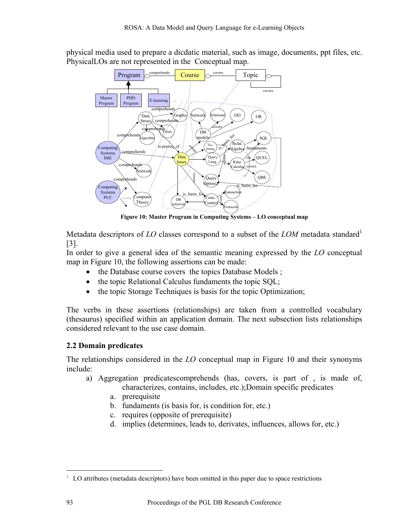physical media used to prepare a dicdatic material, such as image, documents, ppt files, etc. PhysicalLOs are not represented in the Conceptual map.



<span id="page-2-0"></span>**Figure 10: Master Program in Computing Systems – LO conceptual map**

Metadata descriptors of *LO* classes correspond to a subset of the *LOM* metadata standard<sup>1</sup> [3].

In order to give a general idea of the semantic meaning expressed by the *LO* conceptual map in [Figure 10,](#page-2-0) the following assertions can be made:

- the Database course covers the topics Database Models;
- the topic Relational Calculus fundaments the topic SOL;
- the topic Storage Techniques is basis for the topic Optimization:

The verbs in these assertions (relationships) are taken from a controlled vocabulary (thesaurus) specified within an application domain. The next subsection lists relationships considered relevant to the use case domain.

# **2.2 Domain predicates**

The relationships considered in the *LO* conceptual map in [Figure 10](#page-2-0) and their synonyms include:

- a) Aggregation predicatescomprehends (has, covers, is part of , is made of, characterizes, contains, includes, etc.);Domain specific predicates
	- a. prerequisite
	- b. fundaments (is basis for, is condition for, etc.)
	- c. requires (opposite of prerequisite)
	- d. implies (determines, leads to, derivates, influences, allows for, etc.)

1

<span id="page-2-1"></span> $1$  LO attributes (metadata descriptors) have been omitted in this paper due to space restrictions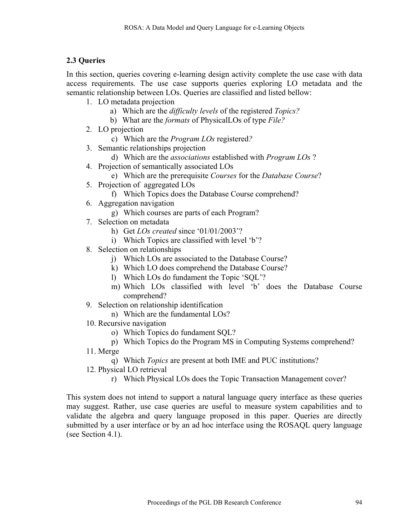# **2.3 Queries**

In this section, queries covering e-learning design activity complete the use case with data access requirements. The use case supports queries exploring LO metadata and the semantic relationship between LOs. Queries are classified and listed bellow:

- 1. LO metadata projection
	- a) Which are the *difficulty levels* of the registered *Topics?*
	- b) What are the *formats* of PhysicalLOs of type *File?*
- 2. LO projection
	- c) Which are the *Program LOs* registered*?*
- 3. Semantic relationships projection
	- d) Which are the *associations* established with *Program LOs* ?
- 4. Projection of semantically associated LOs
	- e) Which are the prerequisite *Courses* for the *Database Course*?
- 5. Projection of aggregated LOs
	- f) Which Topics does the Database Course comprehend?
- 6. Aggregation navigation
	- g) Which courses are parts of each Program?
- 7. Selection on metadata
	- h) Get *LOs created* since '01/01/2003'?
	- i) Which Topics are classified with level 'b'?
- 8. Selection on relationships
	- j) Which LOs are associated to the Database Course?
	- k) Which LO does comprehend the Database Course?
	- l) Which LOs do fundament the Topic 'SQL'?
	- m) Which LOs classified with level 'b' does the Database Course comprehend?
- 9. Selection on relationship identification
	- n) Which are the fundamental LOs?
- 10. Recursive navigation
	- o) Which Topics do fundament SQL?
	- p) Which Topics do the Program MS in Computing Systems comprehend?
- 11. Merge
	- q) Which *Topics* are present at both IME and PUC institutions?
- 12. Physical LO retrieval
	- r) Which Physical LOs does the Topic Transaction Management cover?

This system does not intend to support a natural language query interface as these queries may suggest. Rather, use case queries are useful to measure system capabilities and to validate the algebra and query language proposed in this paper. Queries are directly submitted by a user interface or by an ad hoc interface using the ROSAQL query language (see Section 4.1).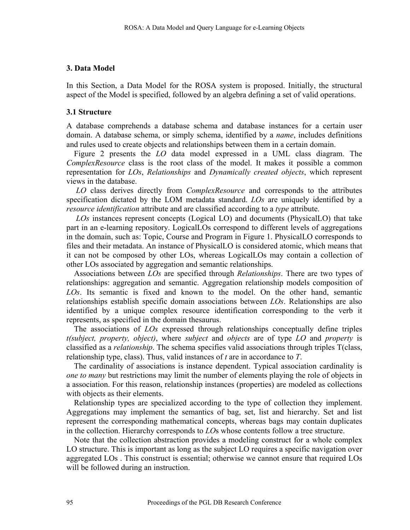### **3. Data Model**

In this Section, a Data Model for the ROSA system is proposed. Initially, the structural aspect of the Model is specified, followed by an algebra defining a set of valid operations.

### **3.1 Structure**

A database comprehends a database schema and database instances for a certain user domain. A database schema, or simply schema, identified by a *name*, includes definitions and rules used to create objects and relationships between them in a certain domain.

Figure 2 presents the *LO* data model expressed in a UML class diagram. The *ComplexResource* class is the root class of the model. It makes it possible a common representation for *LOs*, *Relationships* and *Dynamically created objects*, which represent views in the database.

*LO* class derives directly from *ComplexResource* and corresponds to the attributes specification dictated by the LOM metadata standard. *LOs* are uniquely identified by a *resource identification* attribute and are classified according to a *type* attribute.

 *LOs* instances represent concepts (Logical LO) and documents (PhysicalLO) that take part in an e-learning repository. LogicalLOs correspond to different levels of aggregations in the domain, such as: Topic, Course and Program in Figure 1. PhysicalLO corresponds to files and their metadata. An instance of PhysicalLO is considered atomic, which means that it can not be composed by other LOs, whereas LogicalLOs may contain a collection of other LOs associated by aggregation and semantic relationships.

Associations between *LOs* are specified through *Relationships*. There are two types of relationships: aggregation and semantic. Aggregation relationship models composition of *LOs*. Its semantic is fixed and known to the model. On the other hand, semantic relationships establish specific domain associations between *LOs*. Relationships are also identified by a unique complex resource identification corresponding to the verb it represents, as specified in the domain thesaurus.

The associations of *LOs* expressed through relationships conceptually define triples *t(subject, property, object)*, where *subject* and *objects* are of type *LO* and *property* is classified as a *relationship*. The schema specifies valid associations through triples T(class, relationship type, class). Thus, valid instances of *t* are in accordance to *T*.

The cardinality of associations is instance dependent. Typical association cardinality is *one to many* but restrictions may limit the number of elements playing the role of objects in a association. For this reason, relationship instances (properties) are modeled as collections with objects as their elements.

Relationship types are specialized according to the type of collection they implement. Aggregations may implement the semantics of bag, set, list and hierarchy. Set and list represent the corresponding mathematical concepts, whereas bags may contain duplicates in the collection. Hierarchy corresponds to *LO*s whose contents follow a tree structure.

Note that the collection abstraction provides a modeling construct for a whole complex LO structure. This is important as long as the subject LO requires a specific navigation over aggregated LOs . This construct is essential; otherwise we cannot ensure that required LOs will be followed during an instruction.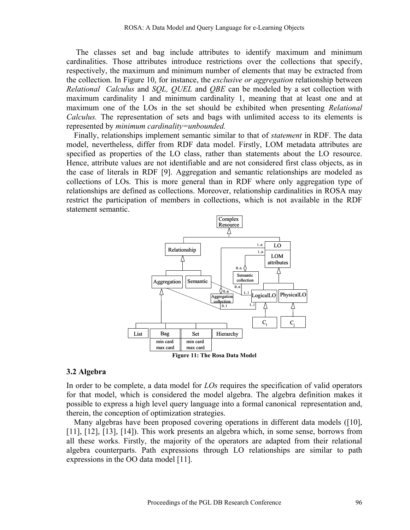The classes set and bag include attributes to identify maximum and minimum cardinalities. Those attributes introduce restrictions over the collections that specify, respectively, the maximum and minimum number of elements that may be extracted from the collection. In [Figure 10,](#page-2-0) for instance, the *exclusive or aggregation* relationship between *Relational Calculus* and *SQL, QUEL* and *QBE* can be modeled by a set collection with maximum cardinality 1 and minimum cardinality 1, meaning that at least one and at maximum one of the LOs in the set should be exhibited when presenting *Relational Calculus.* The representation of sets and bags with unlimited access to its elements is represented by *minimum cardinality=unbounded.*

Finally, relationships implement semantic similar to that of *statement* in RDF. The data model, nevertheless, differ from RDF data model. Firstly, LOM metadata attributes are specified as properties of the LO class, rather than statements about the LO resource. Hence, attribute values are not identifiable and are not considered first class objects, as in the case of literals in RDF [9]. Aggregation and semantic relationships are modeled as collections of LOs. This is more general than in RDF where only aggregation type of relationships are defined as collections. Moreover, relationship cardinalities in ROSA may restrict the participation of members in collections, which is not available in the RDF statement semantic.



**Figure 11: The Rosa Data Model**

### **3.2 Algebra**

In order to be complete, a data model for *LOs* requires the specification of valid operators for that model, which is considered the model algebra. The algebra definition makes it possible to express a high level query language into a formal canonical representation and, therein, the conception of optimization strategies.

Many algebras have been proposed covering operations in different data models ([10], [11], [12], [13], [14]). This work presents an algebra which, in some sense, borrows from all these works. Firstly, the majority of the operators are adapted from their relational algebra counterparts. Path expressions through LO relationships are similar to path expressions in the OO data model [11].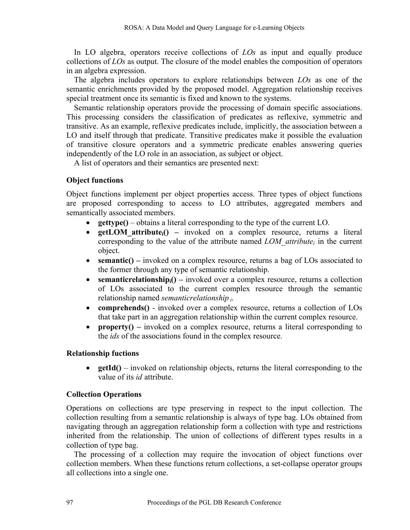In LO algebra, operators receive collections of *LOs* as input and equally produce collections of *LOs* as output. The closure of the model enables the composition of operators in an algebra expression.

The algebra includes operators to explore relationships between *LOs* as one of the semantic enrichments provided by the proposed model. Aggregation relationship receives special treatment once its semantic is fixed and known to the systems.

Semantic relationship operators provide the processing of domain specific associations. This processing considers the classification of predicates as reflexive, symmetric and transitive. As an example, reflexive predicates include, implicitly, the association between a LO and itself through that predicate. Transitive predicates make it possible the evaluation of transitive closure operators and a symmetric predicate enables answering queries independently of the LO role in an association, as subject or object.

A list of operators and their semantics are presented next:

## **Object functions**

Object functions implement per object properties access. Three types of object functions are proposed corresponding to access to LO attributes, aggregated members and semantically associated members.

- **gettype()**  obtains a literal corresponding to the type of the current LO.
- **getLOM** attribute<sub>i</sub>() invoked on a complex resource, returns a literal corresponding to the value of the attribute named *LOM* attribute<sub>i</sub> in the current object.
- **semantic()** invoked on a complex resource, returns a bag of LOs associated to the former through any type of semantic relationship.
- **semanticrelationship**<sub>i</sub>() invoked over a complex resource, returns a collection of LOs associated to the current complex resource through the semantic relationship named *semanticrelationship i*.
- **comprehends()** invoked over a complex resource, returns a collection of LOs that take part in an aggregation relationship within the current complex resource.
- **property()** invoked on a complex resource, returns a literal corresponding to the *ids* of the associations found in the complex resource.

## **Relationship fuctions**

• **getId()** – invoked on relationship objects, returns the literal corresponding to the value of its *id* attribute.

## **Collection Operations**

Operations on collections are type preserving in respect to the input collection. The collection resulting from a semantic relationship is always of type bag. LOs obtained from navigating through an aggregation relationship form a collection with type and restrictions inherited from the relationship. The union of collections of different types results in a collection of type bag.

The processing of a collection may require the invocation of object functions over collection members. When these functions return collections, a set-collapse operator groups all collections into a single one.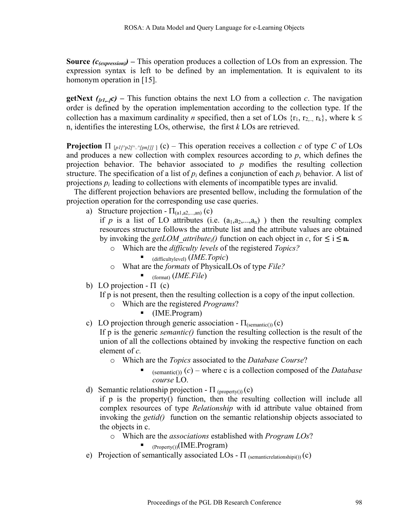**Source**  $(c_{\ell expression})$  **– This operation produces a collection of LOs from an expression. The** expression syntax is left to be defined by an implementation. It is equivalent to its homonym operation in [15].

**getNext**  $(r_1, r_2)$  – This function obtains the next LO from a collection *c*. The navigation order is defined by the operation implementation according to the collection type. If the collection has a maximum cardinality *n* specified, then a set of LOs  $\{r_1, r_2, r_k\}$ , where  $k \leq$ n, identifies the interesting LOs, otherwise, the first *k* LOs are retrieved.

**Projection**  $\Pi_{[p1/p2/r../[pn]]]}$  (c) – This operation receives a collection *c* of type *C* of LOs and produces a new collection with complex resources according to *p*, which defines the projection behavior. The behavior associated to *p* modifies the resulting collection structure. The specification of a list of  $p_i$  defines a conjunction of each  $p_i$  behavior. A list of projections  $p_i$  leading to collections with elements of incompatible types are invalid.

The different projection behaviors are presented bellow, including the formulation of the projection operation for the corresponding use case queries.

a) Structure projection -  $\Pi_{(a1,a2,...,an)}(c)$ 

if *p* is a list of LO attributes (i.e.  $(a_1, a_2, \ldots, a_n)$ ) then the resulting complex resources structure follows the attribute list and the attribute values are obtained by invoking the *getLOM* attribute<sub>i</sub>() function on each object in *c*, for  $\leq$  i  $\leq$  **n.** 

- o Which are the *difficulty levels* of the registered *Topics?*
	- (difficultylevel) (*IME*.*Topic*)
- o What are the *formats* of PhysicalLOs of type *File?*
	- (format) (*IME.File*)
- b) LO projection  $\Pi$  (c)

If p is not present, then the resulting collection is a copy of the input collection.

- o Which are the registered *Programs*?
	- (IME.Program)
- c) LO projection through generic association  $\Pi_{\text{(semantic())}}(c)$

If p is the generic *semantic()* function the resulting collection is the result of the union of all the collections obtained by invoking the respective function on each element of *c.*

- o Which are the *Topics* associated to the *Database Course*?
	- $(semantic())$  (*c*) where c is a collection composed of the *Database course* LO.
- d) Semantic relationship projection  $\Pi$  (property()) (c)
	- if p is the property() function, then the resulting collection will include all complex resources of type *Relationship* with id attribute value obtained from invoking the *getid()* function on the semantic relationship objects associated to the objects in c.
		- o Which are the *associations* established with *Program LOs*?
			- $\blacksquare$  (Property())(IME.Program)
- e) Projection of semantically associated LOs  $\Pi$  (semanticrelationshipi()) (c)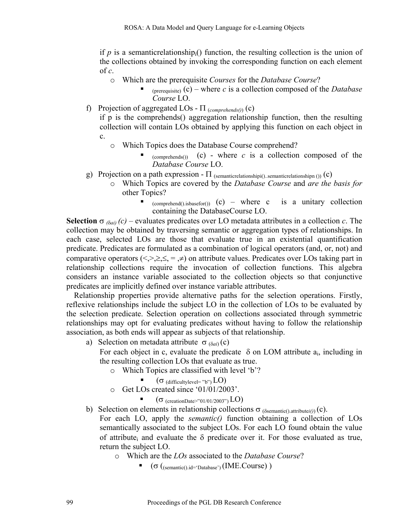if  $p$  is a semanticrelationship<sub>i</sub>() function, the resulting collection is the union of the collections obtained by invoking the corresponding function on each element of *c*.

- o Which are the prerequisite *Courses* for the *Database Course*?
	- (prerequisite)  $(c)$  where *c* is a collection composed of the *Database Course* LO.
- f) Projection of aggregated LOs Π (*comprehends()*) (c)

if p is the comprehends() aggregation relationship function, then the resulting collection will contain LOs obtained by applying this function on each object in c.

- o Which Topics does the Database Course comprehend?
	- $_{\text{(comprehends())}}$  (c) where *c* is a collection composed of the *Database Course* LO.
- g) Projection on a path expression  $\Pi$  (semanticrelationshipi()..semanticrelationshipn ()) (c)
	- o Which Topics are covered by the *Database Course* and *are the basis for* other Topics?
		- $(comprehend().isbasefor())$  (c) where c is a unitary collection containing the DatabaseCourse LO.

**Selection**  $\sigma_{\delta \alpha i}$  (c) – evaluates predicates over LO metadata attributes in a collection *c*. The collection may be obtained by traversing semantic or aggregation types of relationships. In each case, selected LOs are those that evaluate true in an existential quantification predicate. Predicates are formulated as a combination of logical operators (and, or, not) and comparative operators  $(\leq, \geq, \leq, =, \neq)$  on attribute values. Predicates over LOs taking part in relationship collections require the invocation of collection functions. This algebra considers an instance variable associated to the collection objects so that conjunctive predicates are implicitly defined over instance variable attributes.

Relationship properties provide alternative paths for the selection operations. Firstly, reflexive relationships include the subject LO in the collection of LOs to be evaluated by the selection predicate. Selection operation on collections associated through symmetric relationships may opt for evaluating predicates without having to follow the relationship association, as both ends will appear as subjects of that relationship.

a) Selection on metadata attribute σ (δ*ai*) (c)

For each object in c, evaluate the predicate  $\delta$  on LOM attribute  $a_i$ , including in the resulting collection LOs that evaluate as true.

- o Which Topics are classified with level 'b'?
	- $(\sigma$  (difficultylevel= "b")  $LO$ )
- o Get LOs created since '01/01/2003'.
	- $(\sigma$  (creationDate>"01/01/2003") LO)
- b) Selection on elements in relationship collections  $\sigma_{(\delta$ semantic().attribute*i()*) (c).

For each LO, apply the *semantic()* function obtaining a collection of LOs semantically associated to the subject LOs. For each LO found obtain the value of attribute<sub>i</sub> and evaluate the  $\delta$  predicate over it. For those evaluated as true, return the subject LO.

- o Which are the *LOs* associated to the *Database Course*?
	- $\bullet$  ( $\sigma$  ((semantic().id='Database') (IME.Course))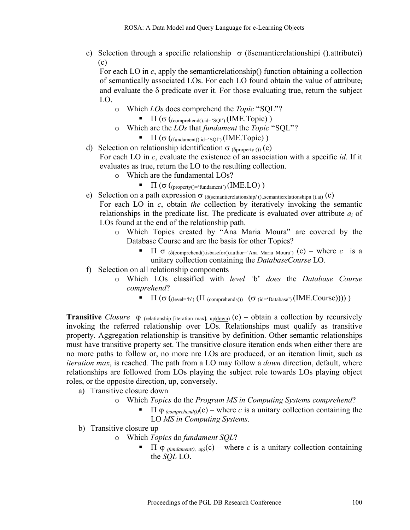c) Selection through a specific relationship  $\sigma$  (δsemanticrelationshipi ().attributei) (c)

For each LO in *c*, apply the semanticrelationship() function obtaining a collection of semantically associated LOs. For each LO found obtain the value of attributei and evaluate the  $\delta$  predicate over it. For those evaluating true, return the subject LO.

- o Which *LOs* does comprehend the *Topic* "SQL"?
	- $\Pi(\sigma(\text{comprehend}), id = \text{SO}^{\circ}(\text{IME}.\text{Topic})$ )
- o Which are the *LOs* that *fundament* the *Topic* "SQL"?
	- $\blacksquare$   $\blacksquare$   $(\sigma$  ((fundament().id='SQl') (IME.Topic))
- d) Selection on relationship identification  $\sigma$  ( $\delta$ <sub>0</sub>property ()) (c) For each LO in *c*, evaluate the existence of an association with a specific *id*. If it evaluates as true, return the LO to the resulting collection.
	- o Which are the fundamental LOs?
		- $\blacksquare$   $\blacksquare$   $(\sigma$  ((property()= 'fundament') (IME.LO))
- e) Selection on a path expression σ (δ(semanticrelationship*i* ()..semanticrelationshipn ().ai) (c) For each LO in *c*, obtain *the* collection by iteratively invoking the semantic relationships in the predicate list. The predicate is evaluated over attribute *ai* of LOs found at the end of the relationship path.
	- o Which Topics created by "Ana Maria Moura" are covered by the Database Course and are the basis for other Topics?
		- Π σ (<sup>δ</sup>(comprehend().isbasefor().author='Ana Maria Moura') (c) where *c* is a unitary collection containing the *DatabaseCourse* LO.
- f) Selection on all relationship components
	- o Which LOs classified with *level '*b' *does* the *Database Course comprehend*?
		- $\blacksquare$   $\blacksquare$  (σ ((level='b') (Π (comprehends()) (σ (id='Database') (IME.Course)))))

**Transitive** *Closure*  $\varphi$  (relationship [iteration max], up|down) (c) – obtain a collection by recursively invoking the referred relationship over LOs. Relationships must qualify as transitive property. Aggregation relationship is transitive by definition. Other semantic relationships must have transitive property set. The transitive closure iteration ends when either there are no more paths to follow or, no more nre LOs are produced, or an iteration limit, such as *iteration max*, is reached*.* The path from a LO may follow a *down* direction, default, where relationships are followed from LOs playing the subject role towards LOs playing object roles, or the opposite direction, up, conversely.

- a) Transitive closure down
	- o Which *Topics* do the *Program MS in Computing Systems comprehend*?
		- $\blacksquare$  Π  $\phi$  (comprehend())(c) where *c* is a unitary collection containing the LO *MS in Computing Systems*.
- b) Transitive closure up
	- o Which *Topics* do *fundament SQL*?
		- Π ϕ *(fundament(), up)*(c) where *c* is a unitary collection containing the *SQL* LO.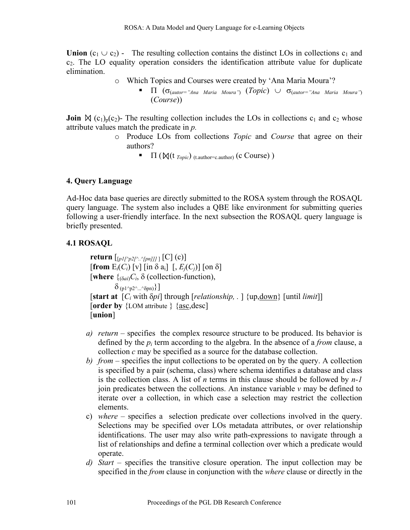**Union**  $(c_1 \cup c_2)$  - The resulting collection contains the distinct LOs in collections  $c_1$  and  $c<sub>2</sub>$ . The LO equality operation considers the identification attribute value for duplicate elimination.

- o Which Topics and Courses were created by 'Ana Maria Moura'?
	- Π (σ(*autor="Ana Maria Moura"*) (*Topic*) ∪ σ(*autor="Ana Maria Moura"*) (*Course*))

**Join**  $\mathbb{N}$  (c<sub>1</sub>)<sub>p</sub>(c<sub>2</sub>)- The resulting collection includes the LOs in collections c<sub>1</sub> and c<sub>2</sub> whose attribute values match the predicate in *p.*

- o Produce LOs from collections *Topic* and *Course* that agree on their authors?
	- $\blacksquare$   $\blacksquare$  ( $\blacksquare$   $(\blacksquare$   $(\blacksquare$   $\blacksquare$   $(\blacksquare$   $\blacksquare$   $\blacksquare$   $(\blacksquare$   $\blacksquare$   $\blacksquare$   $\blacksquare$   $\blacksquare$   $(\blacksquare$   $\blacksquare$   $\blacksquare$   $\blacksquare$   $\blacksquare$   $\blacksquare$   $\blacksquare$   $\blacksquare$   $\blacksquare$   $\blacksquare$   $\blacksquare$   $\blacksquare$   $\blacksquare$   $\blacksquare$   $\blacksquare$   $\blacksquare$   $\blacksquare$   $\bl$

## **4. Query Language**

Ad-Hoc data base queries are directly submitted to the ROSA system through the ROSAQL query language. The system also includes a QBE like environment for submitting queries following a user-friendly interface. In the next subsection the ROSAQL query language is briefly presented.

## **4.1 ROSAQL**

**return**  $\left[\frac{pI}{\gamma p2} \frac{\lambda}{\lambda} \frac{\lambda}{\mu n} \frac{I}{I} \left[ C \right] (c) \right]$  $[\textbf{from } E_i(C_i) \, [\text{v}] \, [\text{in } \delta \, \text{a}_i] \, [\, , E_i(C_i)] \, [\text{on } \delta]$ **[where**  $\{(\delta_{\alpha i})C_i, \delta\}$  (collection-function),  $\delta_{(p1^2p2^2...2^8pn)}\}$ ] [**start at** [*Ci* with δ*pi*] through [*relationship, .* ] {up,down} [until *limit*]] [order by {LOM attribute } {asc,desc] [**union**]

- *a) return* specifies the complex resource structure to be produced. Its behavior is defined by the *pi* term according to the algebra. In the absence of a *from* clause, a collection *c* may be specified as a source for the database collection.
- *b) from* specifies the input collections to be operated on by the query. A collection is specified by a pair (schema, class) where schema identifies a database and class is the collection class. A list of *n* terms in this clause should be followed by *n-1* join predicates between the collections. An instance variable *v* may be defined to iterate over a collection, in which case a selection may restrict the collection elements.
- c) *where*  specifies a selection predicate over collections involved in the query. Selections may be specified over LOs metadata attributes, or over relationship identifications. The user may also write path-expressions to navigate through a list of relationships and define a terminal collection over which a predicate would operate.
- *d) Start* specifies the transitive closure operation. The input collection may be specified in the *from* clause in conjunction with the *where* clause or directly in the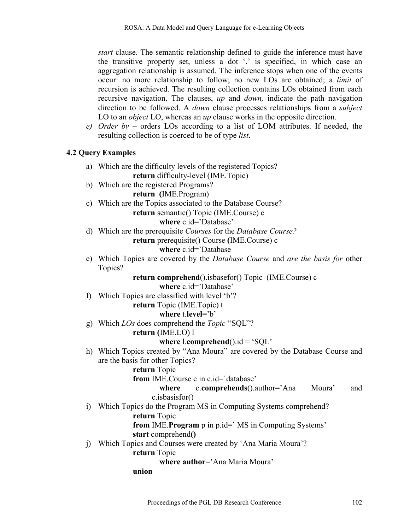*start* clause. The semantic relationship defined to guide the inference must have the transitive property set, unless a dot '.' is specified, in which case an aggregation relationship is assumed. The inference stops when one of the events occur: no more relationship to follow; no new LOs are obtained; a *limit* of recursion is achieved. The resulting collection contains LOs obtained from each recursive navigation. The clauses, *up* and *down,* indicate the path navigation direction to be followed. A *down* clause processes relationships from a *subject* LO to an *object* LO, whereas an *up* clause works in the opposite direction.

*e) Order by –* orders LOs according to a list of LOM attributes. If needed, the resulting collection is coerced to be of type *list*.

### **4.2 Query Examples**

a) Which are the difficulty levels of the registered Topics? **return** difficulty-level (IME.Topic) b) Which are the registered Programs? **return (**IME.Program) c) Which are the Topics associated to the Database Course? **return** semantic() Topic (IME.Course) c **where** c.id='Database' d) Which are the prerequisite *Courses* for the *Database Course?* **return** prerequisite() Course **(**IME.Course) c **where** c.id='Database e) Which Topics are covered by the *Database Course* and *are the basis for* other Topics? **return comprehend**().isbasefor() Topic (IME.Course) c **where** c.id='Database' f) Which Topics are classified with level 'b'? **return** Topic (IME.Topic) t **where t level='b'** g) Which *LOs* does comprehend the *Topic* "SQL"? **return (**IME.LO) l **where**  $l$ **.<b>comprehend** $(l)$ .id = 'SQL' h) Which Topics created by "Ana Moura" are covered by the Database Course and are the basis for other Topics? **return** Topic **from** IME.Course c in c.id=´database' **where** c.**comprehends**().author='Ana Moura' and c.isbasisfor() i) Which Topics do the Program MS in Computing Systems comprehend? **return** Topic **from** IME.**Program** p in p.id=' MS in Computing Systems' **start** comprehend**()** j) Which Topics and Courses were created by 'Ana Maria Moura'? **return** Topic **where author**='Ana Maria Moura' **union**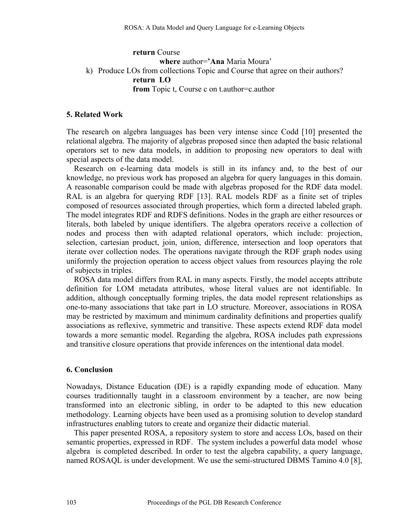### **return** Course **where** author=**'Ana** Maria Moura' k) Produce LOs from collections Topic and Course that agree on their authors? **return LO from** Topic t, Course c on t.author=c.author

### **5. Related Work**

The research on algebra languages has been very intense since Codd [10] presented the relational algebra. The majority of algebras proposed since then adapted the basic relational operators set to new data models, in addition to proposing new operators to deal with special aspects of the data model.

Research on e-learning data models is still in its infancy and, to the best of our knowledge, no previous work has proposed an algebra for query languages in this domain. A reasonable comparison could be made with algebras proposed for the RDF data model. RAL is an algebra for querying RDF [13]. RAL models RDF as a finite set of triples composed of resources associated through properties, which form a directed labeled graph. The model integrates RDF and RDFS definitions. Nodes in the graph are either resources or literals, both labeled by unique identifiers. The algebra operators receive a collection of nodes and process then with adapted relational operators, which include: projection, selection, cartesian product, join, union, difference, intersection and loop operators that iterate over collection nodes. The operations navigate through the RDF graph nodes using uniformly the projection operation to access object values from resources playing the role of subjects in triples.

ROSA data model differs from RAL in many aspects. Firstly, the model accepts attribute definition for LOM metadata attributes, whose literal values are not identifiable. In addition, although conceptually forming triples, the data model represent relationships as one-to-many associations that take part in LO structure. Moreover, associations in ROSA may be restricted by maximum and minimum cardinality definitions and properties qualify associations as reflexive, symmetric and transitive. These aspects extend RDF data model towards a more semantic model. Regarding the algebra, ROSA includes path expressions and transitive closure operations that provide inferences on the intentional data model.

### **6. Conclusion**

Nowadays, Distance Education (DE) is a rapidly expanding mode of education. Many courses traditionnally taught in a classroom environment by a teacher, are now being transformed into an electronic sibling, in order to be adapted to this new education methodology. Learning objects have been used as a promising solution to develop standard infrastructures enabling tutors to create and organize their didactic material.

This paper presented ROSA, a repository system to store and access LOs, based on their semantic properties, expressed in RDF. The system includes a powerful data model whose algebra is completed described. In order to test the algebra capability, a query language, named ROSAQL is under development. We use the semi-structured DBMS Tamino 4.0 [8],